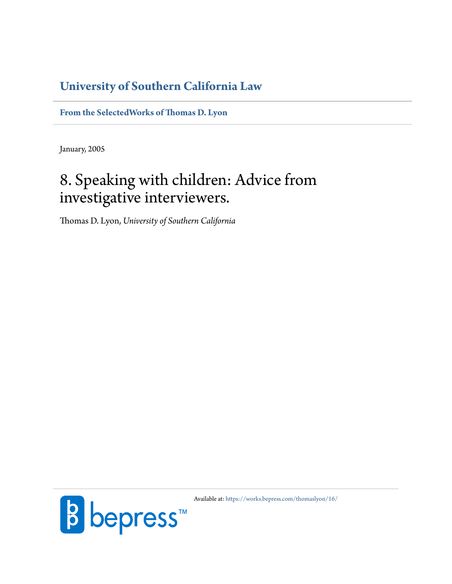# **[University of Southern California Law](http://gould.usc.edu/)**

**[From the SelectedWorks of Thomas D. Lyon](https://works.bepress.com/thomaslyon/)**

January, 2005

# 8. Speaking with children: Advice from investigative interviewers.

Thomas D. Lyon, *University of Southern California*



Available at: <https://works.bepress.com/thomaslyon/16/>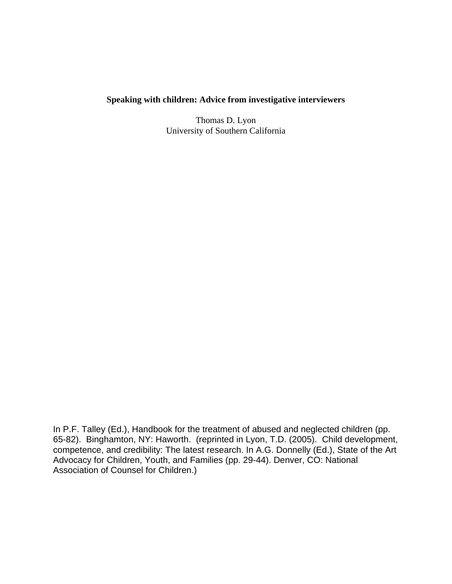# **Speaking with children: Advice from investigative interviewers**

Thomas D. Lyon University of Southern California

In P.F. Talley (Ed.), Handbook for the treatment of abused and neglected children (pp. 65-82). Binghamton, NY: Haworth. (reprinted in Lyon, T.D. (2005). Child development, competence, and credibility: The latest research. In A.G. Donnelly (Ed.), State of the Art Advocacy for Children, Youth, and Families (pp. 29-44). Denver, CO: National Association of Counsel for Children.)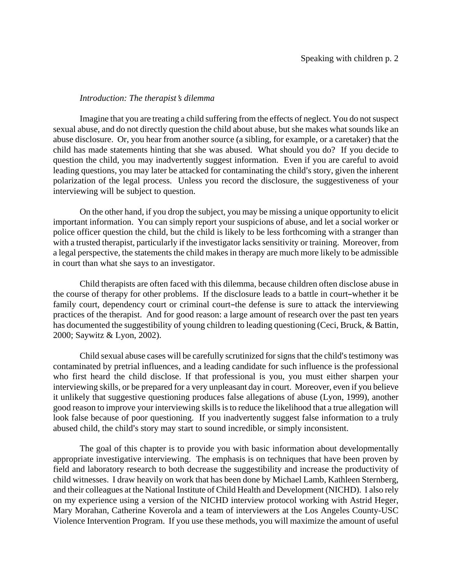#### *Introduction: The therapist's dilemma*

Imagine that you are treating a child suffering from the effects of neglect. You do not suspect sexual abuse, and do not directly question the child about abuse, but she makes what sounds like an abuse disclosure. Or, you hear from another source (a sibling, for example, or a caretaker) that the child has made statements hinting that she was abused. What should you do? If you decide to question the child, you may inadvertently suggest information. Even if you are careful to avoid leading questions, you may later be attacked for contaminating the child's story, given the inherent polarization of the legal process. Unless you record the disclosure, the suggestiveness of your interviewing will be subject to question.

On the other hand, if you drop the subject, you may be missing a unique opportunity to elicit important information. You can simply report your suspicions of abuse, and let a social worker or police officer question the child, but the child is likely to be less forthcoming with a stranger than with a trusted therapist, particularly if the investigator lacks sensitivity or training. Moreover, from a legal perspective, the statements the child makes in therapy are much more likely to be admissible in court than what she says to an investigator.

Child therapists are often faced with this dilemma, because children often disclose abuse in the course of therapy for other problems. If the disclosure leads to a battle in court-whether it be family court, dependency court or criminal court-the defense is sure to attack the interviewing practices of the therapist. And for good reason: a large amount of research over the past ten years has documented the suggestibility of young children to leading questioning (Ceci, Bruck, & Battin, 2000; Saywitz & Lyon, 2002).

Child sexual abuse cases will be carefully scrutinized for signs that the child's testimony was contaminated by pretrial influences, and a leading candidate for such influence is the professional who first heard the child disclose. If that professional is you, you must either sharpen your interviewing skills, or be prepared for a very unpleasant day in court. Moreover, even if you believe it unlikely that suggestive questioning produces false allegations of abuse (Lyon, 1999), another good reason to improve your interviewing skills is to reduce the likelihood that a true allegation will look false because of poor questioning. If you inadvertently suggest false information to a truly abused child, the child's story may start to sound incredible, or simply inconsistent.

The goal of this chapter is to provide you with basic information about developmentally appropriate investigative interviewing. The emphasis is on techniques that have been proven by field and laboratory research to both decrease the suggestibility and increase the productivity of child witnesses. I draw heavily on work that has been done by Michael Lamb, Kathleen Sternberg, and their colleagues at the National Institute of Child Health and Development (NICHD). I also rely on my experience using a version of the NICHD interview protocol working with Astrid Heger, Mary Morahan, Catherine Koverola and a team of interviewers at the Los Angeles County-USC Violence Intervention Program. If you use these methods, you will maximize the amount of useful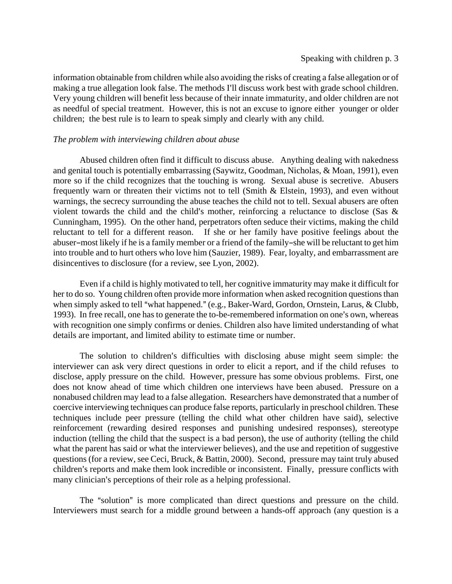information obtainable from children while also avoiding the risks of creating a false allegation or of making a true allegation look false. The methods I'll discuss work best with grade school children. Very young children will benefit less because of their innate immaturity, and older children are not as needful of special treatment. However, this is not an excuse to ignore either younger or older children; the best rule is to learn to speak simply and clearly with any child.

#### *The problem with interviewing children about abuse*

Abused children often find it difficult to discuss abuse. Anything dealing with nakedness and genital touch is potentially embarrassing (Saywitz, Goodman, Nicholas, & Moan, 1991), even more so if the child recognizes that the touching is wrong. Sexual abuse is secretive. Abusers frequently warn or threaten their victims not to tell (Smith & Elstein, 1993), and even without warnings, the secrecy surrounding the abuse teaches the child not to tell. Sexual abusers are often violent towards the child and the child's mother, reinforcing a reluctance to disclose (Sas  $\&$ Cunningham, 1995). On the other hand, perpetrators often seduce their victims, making the child reluctant to tell for a different reason. If she or her family have positive feelings about the abuser-most likely if he is a family member or a friend of the family-she will be reluctant to get him into trouble and to hurt others who love him (Sauzier, 1989). Fear, loyalty, and embarrassment are disincentives to disclosure (for a review, see Lyon, 2002).

Even if a child is highly motivated to tell, her cognitive immaturity may make it difficult for her to do so. Young children often provide more information when asked recognition questions than when simply asked to tell "what happened." (e.g., Baker-Ward, Gordon, Ornstein, Larus, & Clubb, 1993). In free recall, one has to generate the to-be-remembered information on one's own, whereas with recognition one simply confirms or denies. Children also have limited understanding of what details are important, and limited ability to estimate time or number.

The solution to children's difficulties with disclosing abuse might seem simple: the interviewer can ask very direct questions in order to elicit a report, and if the child refuses to disclose, apply pressure on the child. However, pressure has some obvious problems. First, one does not know ahead of time which children one interviews have been abused. Pressure on a nonabused children may lead to a false allegation. Researchers have demonstrated that a number of coercive interviewing techniques can produce false reports, particularly in preschool children. These techniques include peer pressure (telling the child what other children have said), selective reinforcement (rewarding desired responses and punishing undesired responses), stereotype induction (telling the child that the suspect is a bad person), the use of authority (telling the child what the parent has said or what the interviewer believes), and the use and repetition of suggestive questions (for a review, see Ceci, Bruck, & Battin, 2000). Second, pressure may taint truly abused children's reports and make them look incredible or inconsistent. Finally, pressure conflicts with many clinician's perceptions of their role as a helping professional.

The "solution" is more complicated than direct questions and pressure on the child. Interviewers must search for a middle ground between a hands-off approach (any question is a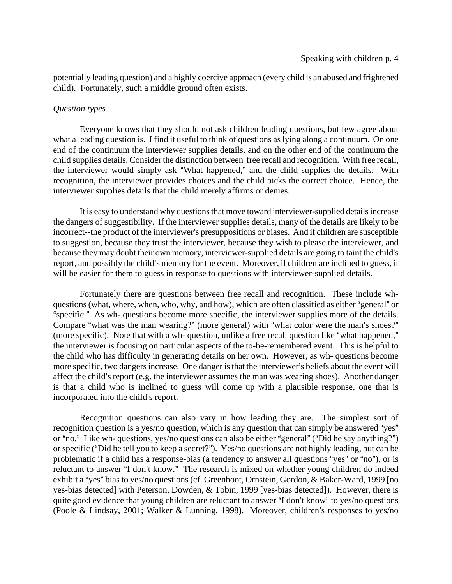potentially leading question) and a highly coercive approach (every child is an abused and frightened child). Fortunately, such a middle ground often exists.

#### *Question types*

Everyone knows that they should not ask children leading questions, but few agree about what a leading question is. I find it useful to think of questions as lying along a continuum. On one end of the continuum the interviewer supplies details, and on the other end of the continuum the child supplies details. Consider the distinction between free recall and recognition. With free recall, the interviewer would simply ask "What happened," and the child supplies the details. With recognition, the interviewer provides choices and the child picks the correct choice. Hence, the interviewer supplies details that the child merely affirms or denies.

It is easy to understand why questions that move toward interviewer-supplied details increase the dangers of suggestibility. If the interviewer supplies details, many of the details are likely to be incorrect--the product of the interviewer's presuppositions or biases. And if children are susceptible to suggestion, because they trust the interviewer, because they wish to please the interviewer, and because they may doubt their own memory, interviewer-supplied details are going to taint the child's report, and possibly the child's memory for the event. Moreover, if children are inclined to guess, it will be easier for them to guess in response to questions with interviewer-supplied details.

Fortunately there are questions between free recall and recognition. These include whquestions (what, where, when, who, why, and how), which are often classified as either "general" or "specific." As wh- questions become more specific, the interviewer supplies more of the details. Compare "what was the man wearing?" (more general) with "what color were the man's shoes?" (more specific). Note that with a wh- question, unlike a free recall question like "what happened," the interviewer is focusing on particular aspects of the to-be-remembered event. This is helpful to the child who has difficulty in generating details on her own. However, as wh- questions become more specific, two dangers increase. One danger is that the interviewer's beliefs about the event will affect the child's report (e.g. the interviewer assumes the man was wearing shoes). Another danger is that a child who is inclined to guess will come up with a plausible response, one that is incorporated into the child's report.

Recognition questions can also vary in how leading they are. The simplest sort of recognition question is a yes/no question, which is any question that can simply be answered "yes" or "no." Like wh- questions, yes/no questions can also be either "general" ("Did he say anything?") or specific ("Did he tell you to keep a secret?"). Yes/no questions are not highly leading, but can be problematic if a child has a response-bias (a tendency to answer all questions "yes" or "no"), or is reluctant to answer "I don't know." The research is mixed on whether young children do indeed exhibit a "yes" bias to yes/no questions (cf. Greenhoot, Ornstein, Gordon, & Baker-Ward, 1999 [no yes-bias detected] with Peterson, Dowden, & Tobin, 1999 [yes-bias detected]). However, there is quite good evidence that young children are reluctant to answer "I don't know" to yes/no questions (Poole & Lindsay, 2001; Walker & Lunning, 1998). Moreover, children's responses to yes/no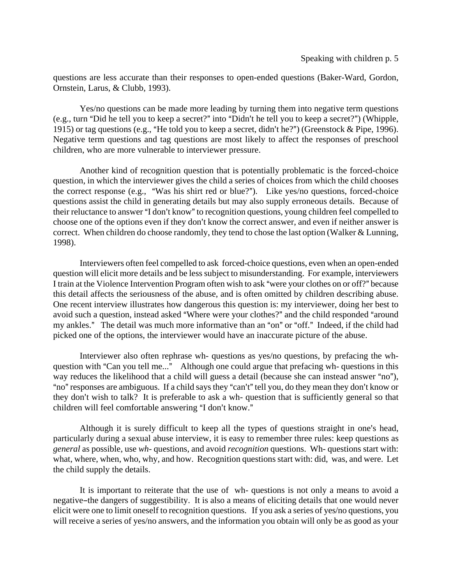questions are less accurate than their responses to open-ended questions (Baker-Ward, Gordon, Ornstein, Larus, & Clubb, 1993).

Yes/no questions can be made more leading by turning them into negative term questions (e.g., turn "Did he tell you to keep a secret?" into "Didn't he tell you to keep a secret?") (Whipple, 1915) or tag questions (e.g., "He told you to keep a secret, didn't he?") (Greenstock & Pipe, 1996). Negative term questions and tag questions are most likely to affect the responses of preschool children, who are more vulnerable to interviewer pressure.

Another kind of recognition question that is potentially problematic is the forced-choice question, in which the interviewer gives the child a series of choices from which the child chooses the correct response (e.g., "Was his shirt red or blue?"). Like yes/no questions, forced-choice questions assist the child in generating details but may also supply erroneous details. Because of their reluctance to answer "I don't know" to recognition questions, young children feel compelled to choose one of the options even if they don't know the correct answer, and even if neither answer is correct. When children do choose randomly, they tend to chose the last option (Walker & Lunning, 1998).

Interviewers often feel compelled to ask forced-choice questions, even when an open-ended question will elicit more details and be less subject to misunderstanding. For example, interviewers I train at the Violence Intervention Program often wish to ask "were your clothes on or off?" because this detail affects the seriousness of the abuse, and is often omitted by children describing abuse. One recent interview illustrates how dangerous this question is: my interviewer, doing her best to avoid such a question, instead asked "Where were your clothes?" and the child responded "around my ankles." The detail was much more informative than an "on" or "off." Indeed, if the child had picked one of the options, the interviewer would have an inaccurate picture of the abuse.

Interviewer also often rephrase wh- questions as yes/no questions, by prefacing the whquestion with "Can you tell me..." Although one could argue that prefacing wh- questions in this way reduces the likelihood that a child will guess a detail (because she can instead answer "no"), "no" responses are ambiguous. If a child says they "can't" tell you, do they mean they don't know or they don't wish to talk? It is preferable to ask a wh- question that is sufficiently general so that children will feel comfortable answering "I don't know."

Although it is surely difficult to keep all the types of questions straight in one's head, particularly during a sexual abuse interview, it is easy to remember three rules: keep questions as *general* as possible, use *wh-* questions, and avoid *recognition* questions. Wh- questions start with: what, where, when, who, why, and how. Recognition questions start with: did, was, and were. Let the child supply the details.

It is important to reiterate that the use of wh- questions is not only a means to avoid a negative-the dangers of suggestibility. It is also a means of eliciting details that one would never elicit were one to limit oneself to recognition questions. If you ask a series of yes/no questions, you will receive a series of yes/no answers, and the information you obtain will only be as good as your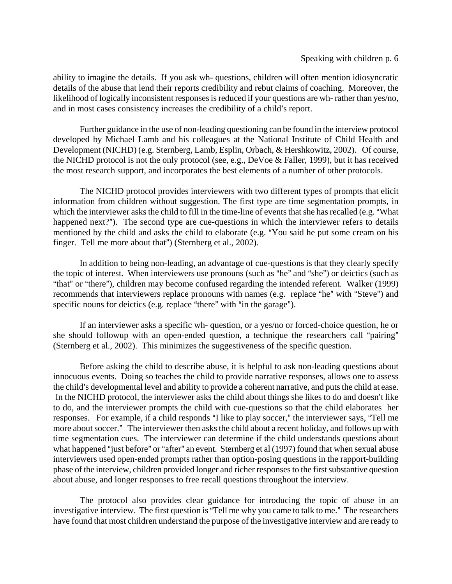#### Speaking with children p. 6

ability to imagine the details. If you ask wh- questions, children will often mention idiosyncratic details of the abuse that lend their reports credibility and rebut claims of coaching. Moreover, the likelihood of logically inconsistent responses is reduced if your questions are wh- rather than yes/no, and in most cases consistency increases the credibility of a child's report.

Further guidance in the use of non-leading questioning can be found in the interview protocol developed by Michael Lamb and his colleagues at the National Institute of Child Health and Development (NICHD) (e.g. Sternberg, Lamb, Esplin, Orbach, & Hershkowitz, 2002). Of course, the NICHD protocol is not the only protocol (see, e.g., DeVoe & Faller, 1999), but it has received the most research support, and incorporates the best elements of a number of other protocols.

The NICHD protocol provides interviewers with two different types of prompts that elicit information from children without suggestion. The first type are time segmentation prompts, in which the interviewer asks the child to fill in the time-line of events that she has recalled (e.g. "What happened next?"). The second type are cue-questions in which the interviewer refers to details mentioned by the child and asks the child to elaborate (e.g. "You said he put some cream on his finger. Tell me more about that") (Sternberg et al., 2002).

In addition to being non-leading, an advantage of cue-questions is that they clearly specify the topic of interest. When interviewers use pronouns (such as "he" and "she") or deictics (such as "that" or "there"), children may become confused regarding the intended referent. Walker (1999) recommends that interviewers replace pronouns with names (e.g. replace "he" with "Steve") and specific nouns for deictics (e.g. replace "there" with "in the garage").

If an interviewer asks a specific wh- question, or a yes/no or forced-choice question, he or she should followup with an open-ended question, a technique the researchers call "pairing" (Sternberg et al., 2002). This minimizes the suggestiveness of the specific question.

Before asking the child to describe abuse, it is helpful to ask non-leading questions about innocuous events. Doing so teaches the child to provide narrative responses, allows one to assess the child's developmental level and ability to provide a coherent narrative, and puts the child at ease. In the NICHD protocol, the interviewer asks the child about things she likes to do and doesn't like to do, and the interviewer prompts the child with cue-questions so that the child elaborates her responses. For example, if a child responds "I like to play soccer," the interviewer says, "Tell me more about soccer." The interviewer then asks the child about a recent holiday, and follows up with time segmentation cues. The interviewer can determine if the child understands questions about what happened "just before" or "after" an event. Sternberg et al (1997) found that when sexual abuse interviewers used open-ended prompts rather than option-posing questions in the rapport-building phase of the interview, children provided longer and richer responses to the first substantive question about abuse, and longer responses to free recall questions throughout the interview.

The protocol also provides clear guidance for introducing the topic of abuse in an investigative interview. The first question is "Tell me why you came to talk to me." The researchers have found that most children understand the purpose of the investigative interview and are ready to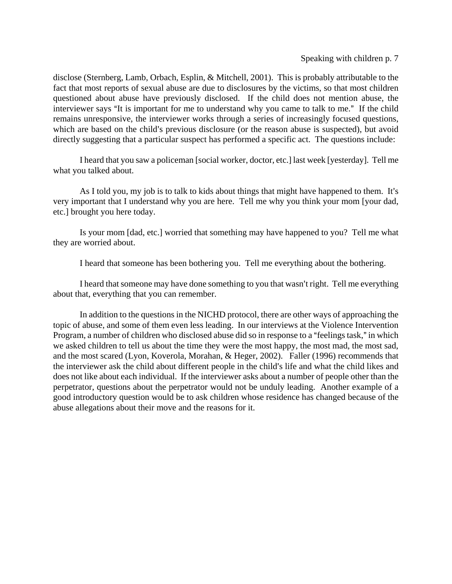#### Speaking with children p. 7

disclose (Sternberg, Lamb, Orbach, Esplin, & Mitchell, 2001). This is probably attributable to the fact that most reports of sexual abuse are due to disclosures by the victims, so that most children questioned about abuse have previously disclosed. If the child does not mention abuse, the interviewer says "It is important for me to understand why you came to talk to me." If the child remains unresponsive, the interviewer works through a series of increasingly focused questions, which are based on the child's previous disclosure (or the reason abuse is suspected), but avoid directly suggesting that a particular suspect has performed a specific act. The questions include:

I heard that you saw a policeman [social worker, doctor, etc.] last week [yesterday]. Tell me what you talked about.

As I told you, my job is to talk to kids about things that might have happened to them. It's very important that I understand why you are here. Tell me why you think your mom [your dad, etc.] brought you here today.

Is your mom [dad, etc.] worried that something may have happened to you? Tell me what they are worried about.

I heard that someone has been bothering you. Tell me everything about the bothering.

I heard that someone may have done something to you that wasn't right. Tell me everything about that, everything that you can remember.

In addition to the questions in the NICHD protocol, there are other ways of approaching the topic of abuse, and some of them even less leading. In our interviews at the Violence Intervention Program, a number of children who disclosed abuse did so in response to a "feelings task," in which we asked children to tell us about the time they were the most happy, the most mad, the most sad, and the most scared (Lyon, Koverola, Morahan, & Heger, 2002). Faller (1996) recommends that the interviewer ask the child about different people in the child's life and what the child likes and does not like about each individual. If the interviewer asks about a number of people other than the perpetrator, questions about the perpetrator would not be unduly leading. Another example of a good introductory question would be to ask children whose residence has changed because of the abuse allegations about their move and the reasons for it.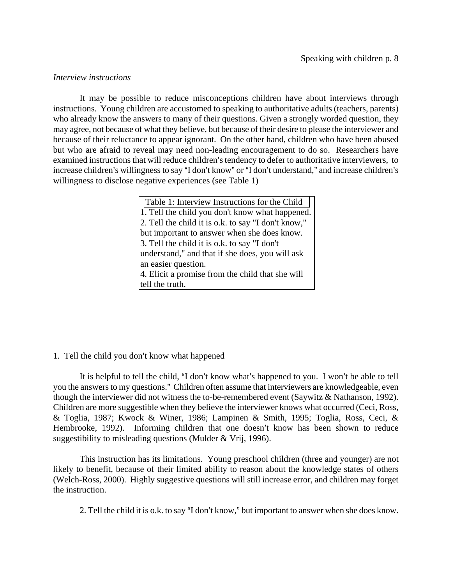#### *Interview instructions*

It may be possible to reduce misconceptions children have about interviews through instructions. Young children are accustomed to speaking to authoritative adults (teachers, parents) who already know the answers to many of their questions. Given a strongly worded question, they may agree, not because of what they believe, but because of their desire to please the interviewer and because of their reluctance to appear ignorant. On the other hand, children who have been abused but who are afraid to reveal may need non-leading encouragement to do so. Researchers have examined instructions that will reduce children's tendency to defer to authoritative interviewers, to increase children's willingness to say "I don't know" or "I don't understand," and increase children's willingness to disclose negative experiences (see Table 1)

> Table 1: Interview Instructions for the Child 1. Tell the child you don't know what happened. 2. Tell the child it is o.k. to say "I don't know," but important to answer when she does know. 3. Tell the child it is o.k. to say "I don't understand," and that if she does, you will ask an easier question. 4. Elicit a promise from the child that she will tell the truth.

# 1. Tell the child you don't know what happened

It is helpful to tell the child, "I don't know what's happened to you. I won't be able to tell you the answers to my questions." Children often assume that interviewers are knowledgeable, even though the interviewer did not witness the to-be-remembered event (Saywitz & Nathanson, 1992). Children are more suggestible when they believe the interviewer knows what occurred (Ceci, Ross, & Toglia, 1987; Kwock & Winer, 1986; Lampinen & Smith, 1995; Toglia, Ross, Ceci, & Hembrooke, 1992). Informing children that one doesn't know has been shown to reduce suggestibility to misleading questions (Mulder & Vrij, 1996).

This instruction has its limitations. Young preschool children (three and younger) are not likely to benefit, because of their limited ability to reason about the knowledge states of others (Welch-Ross, 2000). Highly suggestive questions will still increase error, and children may forget the instruction.

2. Tell the child it is o.k. to say "I don't know," but important to answer when she does know.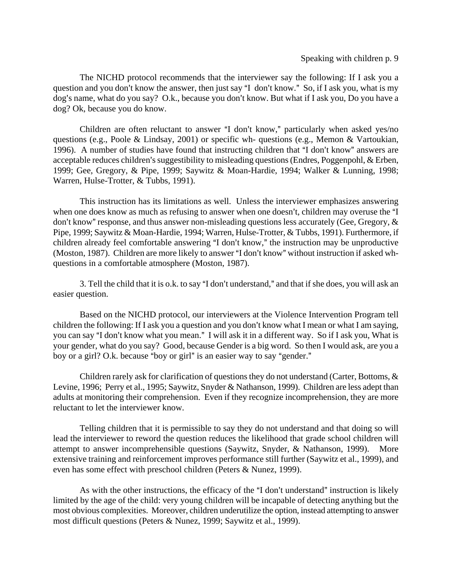The NICHD protocol recommends that the interviewer say the following: If I ask you a question and you don't know the answer, then just say "I don't know." So, if I ask you, what is my dog's name, what do you say? O.k., because you don't know. But what if I ask you, Do you have a dog? Ok, because you do know.

Children are often reluctant to answer "I don't know," particularly when asked yes/no questions (e.g., Poole & Lindsay, 2001) or specific wh- questions (e.g., Memon & Vartoukian, 1996). A number of studies have found that instructing children that "I don't know" answers are acceptable reduces children's suggestibility to misleading questions (Endres, Poggenpohl, & Erben, 1999; Gee, Gregory, & Pipe, 1999; Saywitz & Moan-Hardie, 1994; Walker & Lunning, 1998; Warren, Hulse-Trotter, & Tubbs, 1991).

This instruction has its limitations as well. Unless the interviewer emphasizes answering when one does know as much as refusing to answer when one doesn't, children may overuse the "I don't know" response, and thus answer non-misleading questions less accurately (Gee, Gregory,  $\&$ Pipe, 1999; Saywitz & Moan-Hardie, 1994; Warren, Hulse-Trotter, & Tubbs, 1991). Furthermore, if children already feel comfortable answering "I don't know," the instruction may be unproductive (Moston, 1987). Children are more likely to answer "I don't know" without instruction if asked whquestions in a comfortable atmosphere (Moston, 1987).

3. Tell the child that it is o.k. to say "I don't understand," and that if she does, you will ask an easier question.

Based on the NICHD protocol, our interviewers at the Violence Intervention Program tell children the following: If I ask you a question and you don't know what I mean or what I am saying, you can say "I don't know what you mean." I will ask it in a different way. So if I ask you, What is your gender, what do you say? Good, because Gender is a big word. So then I would ask, are you a boy or a girl? O.k. because "boy or girl" is an easier way to say "gender."

Children rarely ask for clarification of questions they do not understand (Carter, Bottoms, & Levine, 1996; Perry et al., 1995; Saywitz, Snyder & Nathanson, 1999). Children are less adept than adults at monitoring their comprehension. Even if they recognize incomprehension, they are more reluctant to let the interviewer know.

Telling children that it is permissible to say they do not understand and that doing so will lead the interviewer to reword the question reduces the likelihood that grade school children will attempt to answer incomprehensible questions (Saywitz, Snyder, & Nathanson, 1999). More extensive training and reinforcement improves performance still further (Saywitz et al., 1999), and even has some effect with preschool children (Peters & Nunez, 1999).

As with the other instructions, the efficacy of the "I don't understand" instruction is likely limited by the age of the child: very young children will be incapable of detecting anything but the most obvious complexities. Moreover, children underutilize the option, instead attempting to answer most difficult questions (Peters & Nunez, 1999; Saywitz et al., 1999).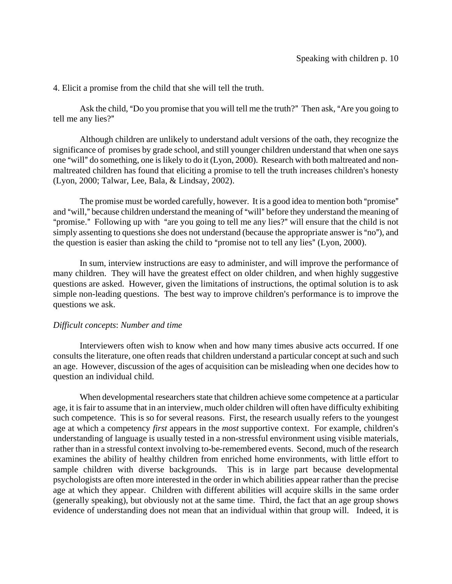4. Elicit a promise from the child that she will tell the truth.

Ask the child, "Do you promise that you will tell me the truth?" Then ask, "Are you going to tell me any lies?"

Although children are unlikely to understand adult versions of the oath, they recognize the significance of promises by grade school, and still younger children understand that when one says one "will" do something, one is likely to do it (Lyon, 2000). Research with both maltreated and nonmaltreated children has found that eliciting a promise to tell the truth increases children's honesty (Lyon, 2000; Talwar, Lee, Bala, & Lindsay, 2002).

The promise must be worded carefully, however. It is a good idea to mention both "promise" and "will," because children understand the meaning of "will" before they understand the meaning of "promise." Following up with "are you going to tell me any lies?" will ensure that the child is not simply assenting to questions she does not understand (because the appropriate answer is "no"), and the question is easier than asking the child to "promise not to tell any lies" (Lyon, 2000).

In sum, interview instructions are easy to administer, and will improve the performance of many children. They will have the greatest effect on older children, and when highly suggestive questions are asked. However, given the limitations of instructions, the optimal solution is to ask simple non-leading questions. The best way to improve children's performance is to improve the questions we ask.

#### *Difficult concepts*: *Number and time*

Interviewers often wish to know when and how many times abusive acts occurred. If one consults the literature, one often reads that children understand a particular concept at such and such an age. However, discussion of the ages of acquisition can be misleading when one decides how to question an individual child.

When developmental researchers state that children achieve some competence at a particular age, it is fair to assume that in an interview, much older children will often have difficulty exhibiting such competence. This is so for several reasons. First, the research usually refers to the youngest age at which a competency *first* appears in the *most* supportive context. For example, children's understanding of language is usually tested in a non-stressful environment using visible materials, rather than in a stressful context involving to-be-remembered events. Second, much of the research examines the ability of healthy children from enriched home environments, with little effort to sample children with diverse backgrounds. This is in large part because developmental psychologists are often more interested in the order in which abilities appear rather than the precise age at which they appear. Children with different abilities will acquire skills in the same order (generally speaking), but obviously not at the same time. Third, the fact that an age group shows evidence of understanding does not mean that an individual within that group will. Indeed, it is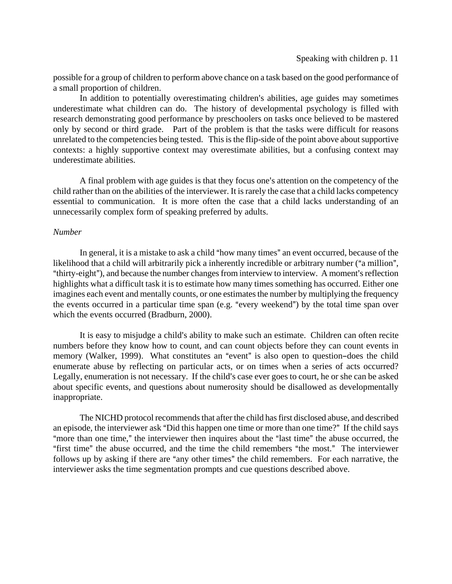possible for a group of children to perform above chance on a task based on the good performance of a small proportion of children.

In addition to potentially overestimating children's abilities, age guides may sometimes underestimate what children can do. The history of developmental psychology is filled with research demonstrating good performance by preschoolers on tasks once believed to be mastered only by second or third grade. Part of the problem is that the tasks were difficult for reasons unrelated to the competencies being tested. This is the flip-side of the point above about supportive contexts: a highly supportive context may overestimate abilities, but a confusing context may underestimate abilities.

A final problem with age guides is that they focus one's attention on the competency of the child rather than on the abilities of the interviewer. It is rarely the case that a child lacks competency essential to communication. It is more often the case that a child lacks understanding of an unnecessarily complex form of speaking preferred by adults.

#### *Number*

In general, it is a mistake to ask a child "how many times" an event occurred, because of the likelihood that a child will arbitrarily pick a inherently incredible or arbitrary number ("a million", "thirty-eight"), and because the number changes from interview to interview. A moment's reflection highlights what a difficult task it is to estimate how many times something has occurred. Either one imagines each event and mentally counts, or one estimates the number by multiplying the frequency the events occurred in a particular time span (e.g. "every weekend") by the total time span over which the events occurred (Bradburn, 2000).

It is easy to misjudge a child's ability to make such an estimate. Children can often recite numbers before they know how to count, and can count objects before they can count events in memory (Walker, 1999). What constitutes an "event" is also open to question-does the child enumerate abuse by reflecting on particular acts, or on times when a series of acts occurred? Legally, enumeration is not necessary. If the child's case ever goes to court, he or she can be asked about specific events, and questions about numerosity should be disallowed as developmentally inappropriate.

The NICHD protocol recommends that after the child has first disclosed abuse, and described an episode, the interviewer ask "Did this happen one time or more than one time?" If the child says "more than one time," the interviewer then inquires about the "last time" the abuse occurred, the "first time" the abuse occurred, and the time the child remembers "the most." The interviewer follows up by asking if there are "any other times" the child remembers. For each narrative, the interviewer asks the time segmentation prompts and cue questions described above.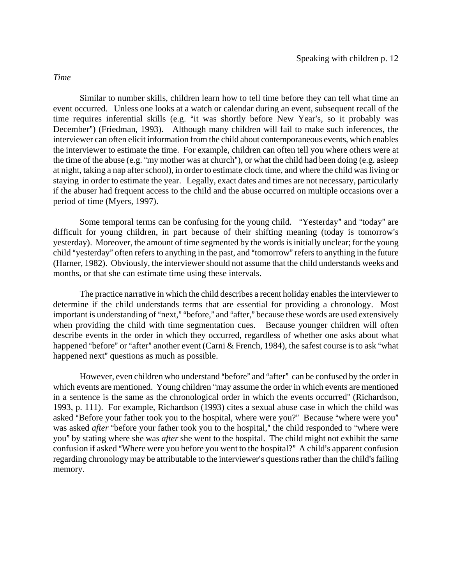*Time*

Similar to number skills, children learn how to tell time before they can tell what time an event occurred. Unless one looks at a watch or calendar during an event, subsequent recall of the time requires inferential skills (e.g. "it was shortly before New Year's, so it probably was December") (Friedman, 1993). Although many children will fail to make such inferences, the interviewer can often elicit information from the child about contemporaneous events, which enables the interviewer to estimate the time. For example, children can often tell you where others were at the time of the abuse (e.g. "my mother was at church"), or what the child had been doing (e.g. asleep at night, taking a nap after school), in order to estimate clock time, and where the child was living or staying in order to estimate the year. Legally, exact dates and times are not necessary, particularly if the abuser had frequent access to the child and the abuse occurred on multiple occasions over a period of time (Myers, 1997).

Some temporal terms can be confusing for the young child. "Yesterday" and "today" are difficult for young children, in part because of their shifting meaning (today is tomorrow's yesterday). Moreover, the amount of time segmented by the words is initially unclear; for the young child "vesterday" often refers to anything in the past, and "tomorrow" refers to anything in the future (Harner, 1982). Obviously, the interviewer should not assume that the child understands weeks and months, or that she can estimate time using these intervals.

The practice narrative in which the child describes a recent holiday enables the interviewer to determine if the child understands terms that are essential for providing a chronology. Most important is understanding of "next," "before," and "after," because these words are used extensively when providing the child with time segmentation cues. Because younger children will often describe events in the order in which they occurred, regardless of whether one asks about what happened "before" or "after" another event (Carni  $&$  French, 1984), the safest course is to ask "what happened next" questions as much as possible.

However, even children who understand "before" and "after" can be confused by the order in which events are mentioned. Young children "may assume the order in which events are mentioned in a sentence is the same as the chronological order in which the events occurred" (Richardson, 1993, p. 111). For example, Richardson (1993) cites a sexual abuse case in which the child was asked "Before your father took you to the hospital, where were you?" Because "where were you" was asked *after* "before your father took you to the hospital," the child responded to "where were you" by stating where she was *after* she went to the hospital. The child might not exhibit the same confusion if asked "Where were you before you went to the hospital?" A child's apparent confusion regarding chronology may be attributable to the interviewer's questions rather than the child's failing memory.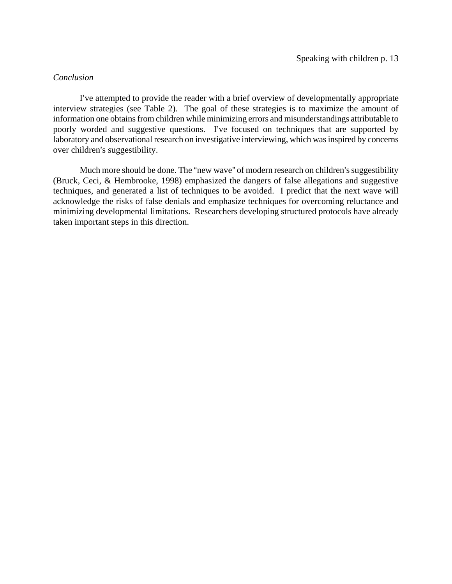# *Conclusion*

I've attempted to provide the reader with a brief overview of developmentally appropriate interview strategies (see Table 2). The goal of these strategies is to maximize the amount of information one obtains from children while minimizing errors and misunderstandings attributable to poorly worded and suggestive questions. I've focused on techniques that are supported by laboratory and observational research on investigative interviewing, which was inspired by concerns over children's suggestibility.

Much more should be done. The "new wave" of modern research on children's suggestibility (Bruck, Ceci, & Hembrooke, 1998) emphasized the dangers of false allegations and suggestive techniques, and generated a list of techniques to be avoided. I predict that the next wave will acknowledge the risks of false denials and emphasize techniques for overcoming reluctance and minimizing developmental limitations. Researchers developing structured protocols have already taken important steps in this direction.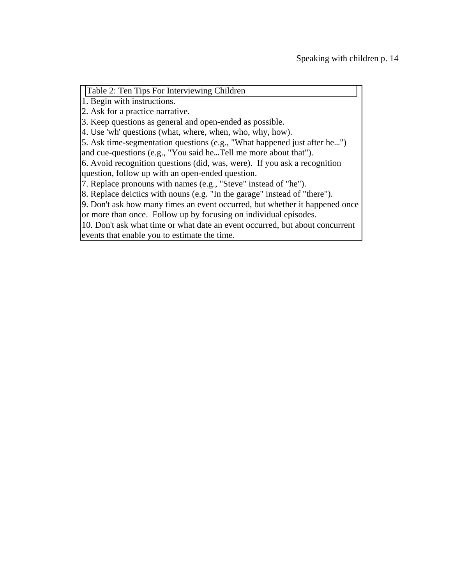Table 2: Ten Tips For Interviewing Children

1. Begin with instructions.

2. Ask for a practice narrative.

3. Keep questions as general and open-ended as possible.

4. Use 'wh' questions (what, where, when, who, why, how).

5. Ask time-segmentation questions (e.g., "What happened just after he...")

and cue-questions (e.g., "You said he...Tell me more about that").

6. Avoid recognition questions (did, was, were). If you ask a recognition question, follow up with an open-ended question.

7. Replace pronouns with names (e.g., "Steve" instead of "he").

8. Replace deictics with nouns (e.g. "In the garage" instead of "there").

9. Don't ask how many times an event occurred, but whether it happened once or more than once. Follow up by focusing on individual episodes.

10. Don't ask what time or what date an event occurred, but about concurrent events that enable you to estimate the time.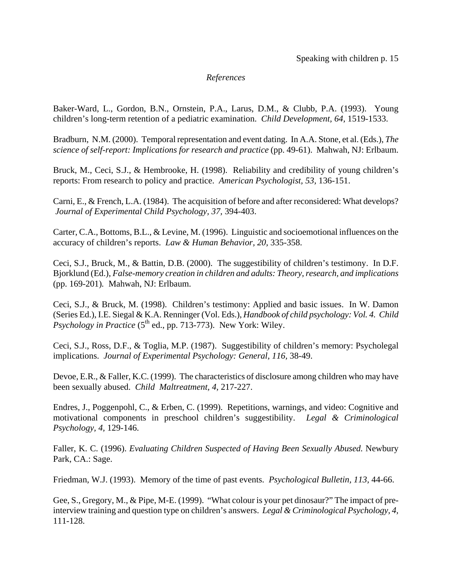### *References*

Baker-Ward, L., Gordon, B.N., Ornstein, P.A., Larus, D.M., & Clubb, P.A. (1993). Young children's long-term retention of a pediatric examination. *Child Development, 64,* 1519-1533.

Bradburn, N.M. (2000). Temporal representation and event dating. In A.A. Stone, et al. (Eds.), *The science of self-report: Implications for research and practice* (pp. 49-61). Mahwah, NJ: Erlbaum.

Bruck, M., Ceci, S.J., & Hembrooke, H. (1998). Reliability and credibility of young children's reports: From research to policy and practice. *American Psychologist, 53,* 136-151.

Carni, E., & French, L.A. (1984). The acquisition of before and after reconsidered: What develops? *Journal of Experimental Child Psychology, 37,* 394-403.

Carter, C.A., Bottoms, B.L., & Levine, M. (1996). Linguistic and socioemotional influences on the accuracy of children's reports. *Law & Human Behavior, 20,* 335-358.

Ceci, S.J., Bruck, M., & Battin, D.B. (2000). The suggestibility of children's testimony. In D.F. Bjorklund (Ed.), *False-memory creation in children and adults: Theory, research, and implications*  (pp. 169-201)*.* Mahwah, NJ: Erlbaum.

Ceci, S.J., & Bruck, M. (1998). Children's testimony: Applied and basic issues. In W. Damon (Series Ed.), I.E. Siegal & K.A. Renninger (Vol. Eds.), *Handbook of child psychology: Vol. 4. Child Psychology in Practice* ( $5<sup>th</sup>$  ed., pp. 713-773). New York: Wiley.

Ceci, S.J., Ross, D.F., & Toglia, M.P. (1987). Suggestibility of children's memory: Psycholegal implications. *Journal of Experimental Psychology: General, 116,* 38-49.

Devoe, E.R., & Faller, K.C. (1999). The characteristics of disclosure among children who may have been sexually abused. *Child Maltreatment, 4,* 217-227.

Endres, J., Poggenpohl, C., & Erben, C. (1999). Repetitions, warnings, and video: Cognitive and motivational components in preschool children's suggestibility. *Legal & Criminological Psychology, 4,* 129-146.

Faller, K. C. (1996). *Evaluating Children Suspected of Having Been Sexually Abused.* Newbury Park, CA.: Sage.

Friedman, W.J. (1993). Memory of the time of past events. *Psychological Bulletin, 113,* 44-66.

Gee, S., Gregory, M., & Pipe, M-E. (1999). "What colour is your pet dinosaur?" The impact of preinterview training and question type on children's answers. *Legal & Criminological Psychology, 4,*  111-128.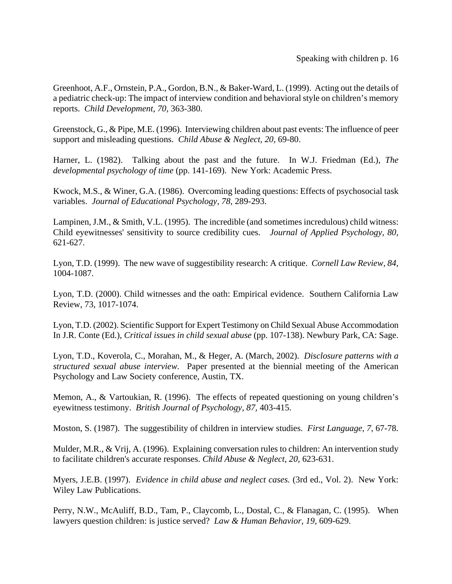Greenhoot, A.F., Ornstein, P.A., Gordon, B.N., & Baker-Ward, L. (1999). Acting out the details of a pediatric check-up: The impact of interview condition and behavioral style on children's memory reports. *Child Development, 70,* 363-380.

Greenstock, G., & Pipe, M.E. (1996). Interviewing children about past events: The influence of peer support and misleading questions. *Child Abuse & Neglect, 20,* 69-80.

Harner, L. (1982). Talking about the past and the future. In W.J. Friedman (Ed.), *The developmental psychology of time* (pp. 141-169). New York: Academic Press.

Kwock, M.S., & Winer, G.A. (1986). Overcoming leading questions: Effects of psychosocial task variables. *Journal of Educational Psychology, 78,* 289-293.

Lampinen, J.M., & Smith, V.L. (1995). The incredible (and sometimes incredulous) child witness: Child eyewitnesses' sensitivity to source credibility cues. *Journal of Applied Psychology, 80,*  621-627.

Lyon, T.D. (1999). The new wave of suggestibility research: A critique. *Cornell Law Review, 84,* 1004-1087.

Lyon, T.D. (2000). Child witnesses and the oath: Empirical evidence. Southern California Law Review, 73, 1017-1074.

Lyon, T.D. (2002). Scientific Support for Expert Testimony on Child Sexual Abuse Accommodation In J.R. Conte (Ed.), *Critical issues in child sexual abuse* (pp. 107-138). Newbury Park, CA: Sage.

Lyon, T.D., Koverola, C., Morahan, M., & Heger, A. (March, 2002). *Disclosure patterns with a structured sexual abuse interview.* Paper presented at the biennial meeting of the American Psychology and Law Society conference, Austin, TX.

Memon, A., & Vartoukian, R. (1996). The effects of repeated questioning on young children's eyewitness testimony. *British Journal of Psychology, 87,* 403-415.

Moston, S. (1987). The suggestibility of children in interview studies. *First Language, 7,* 67-78.

Mulder, M.R., & Vrij, A. (1996). Explaining conversation rules to children: An intervention study to facilitate children's accurate responses. *Child Abuse & Neglect, 20,* 623-631.

Myers, J.E.B. (1997). *Evidence in child abuse and neglect cases.* (3rd ed., Vol. 2). New York: Wiley Law Publications.

Perry, N.W., McAuliff, B.D., Tam, P., Claycomb, L., Dostal, C., & Flanagan, C. (1995). When lawyers question children: is justice served? *Law & Human Behavior, 19,* 609-629.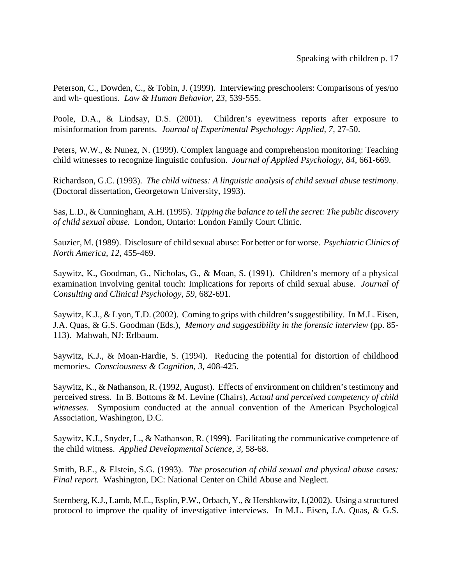Peterson, C., Dowden, C., & Tobin, J. (1999). Interviewing preschoolers: Comparisons of yes/no and wh- questions. *Law & Human Behavior, 23,* 539-555.

Poole, D.A., & Lindsay, D.S. (2001). Children's eyewitness reports after exposure to misinformation from parents. *Journal of Experimental Psychology: Applied, 7,* 27-50.

Peters, W.W., & Nunez, N. (1999). Complex language and comprehension monitoring: Teaching child witnesses to recognize linguistic confusion. *Journal of Applied Psychology, 84,* 661-669.

Richardson, G.C. (1993). *The child witness: A linguistic analysis of child sexual abuse testimony.*  (Doctoral dissertation, Georgetown University, 1993).

Sas, L.D., & Cunningham, A.H. (1995). *Tipping the balance to tell the secret: The public discovery of child sexual abuse.* London, Ontario: London Family Court Clinic.

Sauzier, M. (1989). Disclosure of child sexual abuse: For better or for worse. *Psychiatric Clinics of North America, 12,* 455-469.

Saywitz, K., Goodman, G., Nicholas, G., & Moan, S. (1991). Children's memory of a physical examination involving genital touch: Implications for reports of child sexual abuse. *Journal of Consulting and Clinical Psychology, 59,* 682-691.

Saywitz, K.J., & Lyon, T.D. (2002). Coming to grips with children's suggestibility. In M.L. Eisen, J.A. Quas, & G.S. Goodman (Eds.), *Memory and suggestibility in the forensic interview* (pp. 85- 113). Mahwah, NJ: Erlbaum.

Saywitz, K.J., & Moan-Hardie, S. (1994). Reducing the potential for distortion of childhood memories. *Consciousness & Cognition, 3,* 408-425.

Saywitz, K., & Nathanson, R. (1992, August). Effects of environment on children's testimony and perceived stress. In B. Bottoms & M. Levine (Chairs), *Actual and perceived competency of child witnesses*. Symposium conducted at the annual convention of the American Psychological Association, Washington, D.C.

Saywitz, K.J., Snyder, L., & Nathanson, R. (1999). Facilitating the communicative competence of the child witness. *Applied Developmental Science, 3,* 58-68.

Smith, B.E., & Elstein, S.G. (1993). *The prosecution of child sexual and physical abuse cases: Final report.* Washington, DC: National Center on Child Abuse and Neglect.

Sternberg, K.J., Lamb, M.E., Esplin, P.W., Orbach, Y., & Hershkowitz, I.(2002). Using a structured protocol to improve the quality of investigative interviews. In M.L. Eisen, J.A. Quas, & G.S.